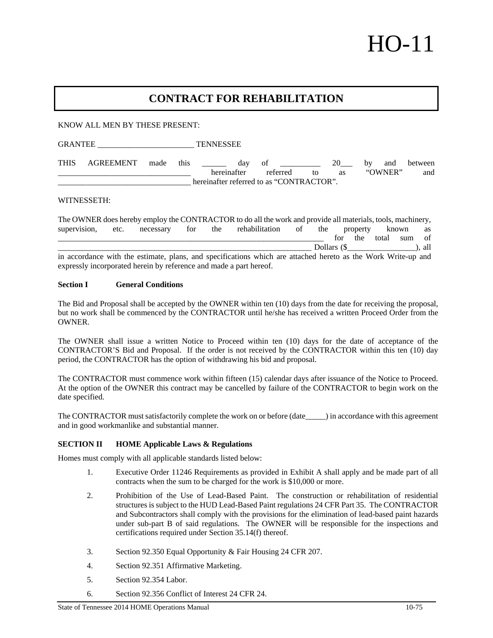# HO-11

# **CONTRACT FOR REHABILITATION**

KNOW ALL MEN BY THESE PRESENT:

GRANTEE TENNESSEE

THIS AGREEMENT made this day of 20 by and between \_\_\_\_\_\_\_\_\_\_\_\_\_\_\_\_\_\_\_\_\_\_\_\_\_\_\_\_\_\_\_\_\_ hereinafter referred to as "OWNER" and hereinafter referred to as "CONTRACTOR".

WITNESSETH:

The OWNER does hereby employ the CONTRACTOR to do all the work and provide all materials, tools, machinery, supervision, etc. necessary for the rehabilitation of the property known as for the total sum of \_\_\_\_\_\_\_\_\_\_\_\_\_\_\_\_\_\_\_\_\_\_\_\_\_\_\_\_\_\_\_\_\_\_\_\_\_\_\_\_\_\_\_\_\_\_\_\_\_\_\_\_\_\_\_\_\_\_\_\_\_\_\_ Dollars (\$\_\_\_\_\_\_\_\_\_\_\_\_\_\_\_\_\_), all in accordance with the estimate, plans, and specifications which are attached hereto as the Work Write-up and expressly incorporated herein by reference and made a part hereof.

#### **Section I General Conditions**

The Bid and Proposal shall be accepted by the OWNER within ten (10) days from the date for receiving the proposal, but no work shall be commenced by the CONTRACTOR until he/she has received a written Proceed Order from the OWNER.

The OWNER shall issue a written Notice to Proceed within ten (10) days for the date of acceptance of the CONTRACTOR'S Bid and Proposal. If the order is not received by the CONTRACTOR within this ten (10) day period, the CONTRACTOR has the option of withdrawing his bid and proposal.

The CONTRACTOR must commence work within fifteen (15) calendar days after issuance of the Notice to Proceed. At the option of the OWNER this contract may be cancelled by failure of the CONTRACTOR to begin work on the date specified.

The CONTRACTOR must satisfactorily complete the work on or before (date\_\_\_\_\_) in accordance with this agreement and in good workmanlike and substantial manner.

### **SECTION II HOME Applicable Laws & Regulations**

Homes must comply with all applicable standards listed below:

- 1. Executive Order 11246 Requirements as provided in Exhibit A shall apply and be made part of all contracts when the sum to be charged for the work is \$10,000 or more.
- 2. Prohibition of the Use of Lead-Based Paint. The construction or rehabilitation of residential structures is subject to the HUD Lead-Based Paint regulations 24 CFR Part 35. The CONTRACTOR and Subcontractors shall comply with the provisions for the elimination of lead-based paint hazards under sub-part B of said regulations. The OWNER will be responsible for the inspections and certifications required under Section 35.14(f) thereof.
- 3. Section 92.350 Equal Opportunity & Fair Housing 24 CFR 207.
- 4. Section 92.351 Affirmative Marketing.
- 5. Section 92.354 Labor.
- 6. Section 92.356 Conflict of Interest 24 CFR 24.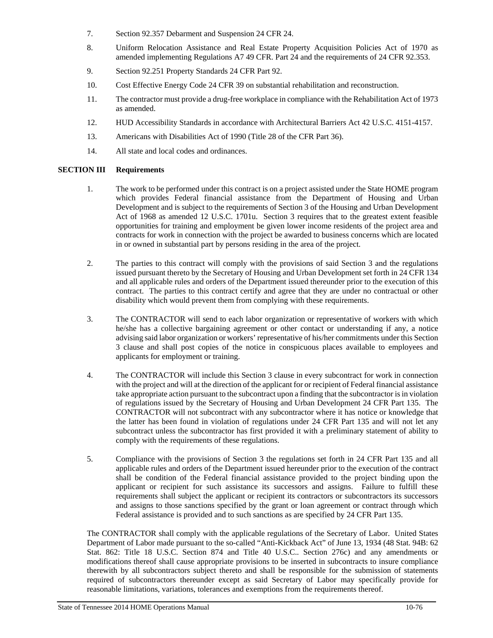- 7. Section 92.357 Debarment and Suspension 24 CFR 24.
- 8. Uniform Relocation Assistance and Real Estate Property Acquisition Policies Act of 1970 as amended implementing Regulations A7 49 CFR. Part 24 and the requirements of 24 CFR 92.353.
- 9. Section 92.251 Property Standards 24 CFR Part 92.
- 10. Cost Effective Energy Code 24 CFR 39 on substantial rehabilitation and reconstruction.
- 11. The contractor must provide a drug-free workplace in compliance with the Rehabilitation Act of 1973 as amended.
- 12. HUD Accessibility Standards in accordance with Architectural Barriers Act 42 U.S.C. 4151-4157.
- 13. Americans with Disabilities Act of 1990 (Title 28 of the CFR Part 36).
- 14. All state and local codes and ordinances.

## **SECTION III Requirements**

- 1. The work to be performed under this contract is on a project assisted under the State HOME program which provides Federal financial assistance from the Department of Housing and Urban Development and is subject to the requirements of Section 3 of the Housing and Urban Development Act of 1968 as amended 12 U.S.C. 1701u. Section 3 requires that to the greatest extent feasible opportunities for training and employment be given lower income residents of the project area and contracts for work in connection with the project be awarded to business concerns which are located in or owned in substantial part by persons residing in the area of the project.
- 2. The parties to this contract will comply with the provisions of said Section 3 and the regulations issued pursuant thereto by the Secretary of Housing and Urban Development set forth in 24 CFR 134 and all applicable rules and orders of the Department issued thereunder prior to the execution of this contract. The parties to this contract certify and agree that they are under no contractual or other disability which would prevent them from complying with these requirements.
- 3. The CONTRACTOR will send to each labor organization or representative of workers with which he/she has a collective bargaining agreement or other contact or understanding if any, a notice advising said labor organization or workers' representative of his/her commitments under this Section 3 clause and shall post copies of the notice in conspicuous places available to employees and applicants for employment or training.
- 4. The CONTRACTOR will include this Section 3 clause in every subcontract for work in connection with the project and will at the direction of the applicant for or recipient of Federal financial assistance take appropriate action pursuant to the subcontract upon a finding that the subcontractor is in violation of regulations issued by the Secretary of Housing and Urban Development 24 CFR Part 135. The CONTRACTOR will not subcontract with any subcontractor where it has notice or knowledge that the latter has been found in violation of regulations under 24 CFR Part 135 and will not let any subcontract unless the subcontractor has first provided it with a preliminary statement of ability to comply with the requirements of these regulations.
- 5. Compliance with the provisions of Section 3 the regulations set forth in 24 CFR Part 135 and all applicable rules and orders of the Department issued hereunder prior to the execution of the contract shall be condition of the Federal financial assistance provided to the project binding upon the applicant or recipient for such assistance its successors and assigns. Failure to fulfill these requirements shall subject the applicant or recipient its contractors or subcontractors its successors and assigns to those sanctions specified by the grant or loan agreement or contract through which Federal assistance is provided and to such sanctions as are specified by 24 CFR Part 135.

The CONTRACTOR shall comply with the applicable regulations of the Secretary of Labor. United States Department of Labor made pursuant to the so-called "Anti-Kickback Act" of June 13, 1934 (48 Stat. 94B: 62 Stat. 862: Title 18 U.S.C. Section 874 and Title 40 U.S.C.. Section 276c) and any amendments or modifications thereof shall cause appropriate provisions to be inserted in subcontracts to insure compliance therewith by all subcontractors subject thereto and shall be responsible for the submission of statements required of subcontractors thereunder except as said Secretary of Labor may specifically provide for reasonable limitations, variations, tolerances and exemptions from the requirements thereof.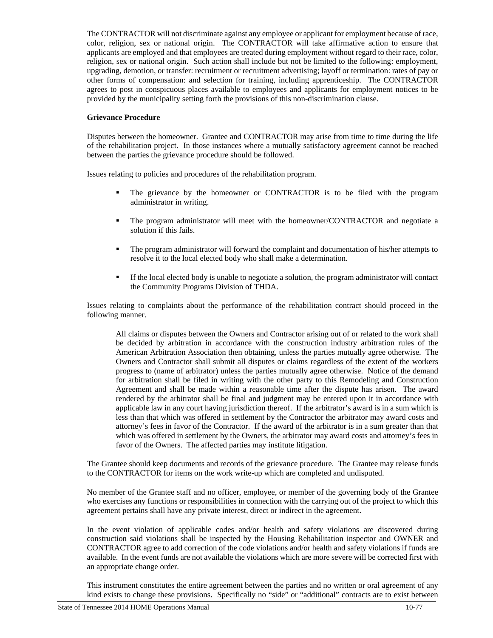The CONTRACTOR will not discriminate against any employee or applicant for employment because of race, color, religion, sex or national origin. The CONTRACTOR will take affirmative action to ensure that applicants are employed and that employees are treated during employment without regard to their race, color, religion, sex or national origin. Such action shall include but not be limited to the following: employment, upgrading, demotion, or transfer: recruitment or recruitment advertising; layoff or termination: rates of pay or other forms of compensation: and selection for training, including apprenticeship. The CONTRACTOR agrees to post in conspicuous places available to employees and applicants for employment notices to be provided by the municipality setting forth the provisions of this non-discrimination clause.

## **Grievance Procedure**

Disputes between the homeowner. Grantee and CONTRACTOR may arise from time to time during the life of the rehabilitation project. In those instances where a mutually satisfactory agreement cannot be reached between the parties the grievance procedure should be followed.

Issues relating to policies and procedures of the rehabilitation program.

- The grievance by the homeowner or CONTRACTOR is to be filed with the program administrator in writing.
- The program administrator will meet with the homeowner/CONTRACTOR and negotiate a solution if this fails.
- The program administrator will forward the complaint and documentation of his/her attempts to resolve it to the local elected body who shall make a determination.
- If the local elected body is unable to negotiate a solution, the program administrator will contact the Community Programs Division of THDA.

Issues relating to complaints about the performance of the rehabilitation contract should proceed in the following manner.

 All claims or disputes between the Owners and Contractor arising out of or related to the work shall be decided by arbitration in accordance with the construction industry arbitration rules of the American Arbitration Association then obtaining, unless the parties mutually agree otherwise. The Owners and Contractor shall submit all disputes or claims regardless of the extent of the workers progress to (name of arbitrator) unless the parties mutually agree otherwise. Notice of the demand for arbitration shall be filed in writing with the other party to this Remodeling and Construction Agreement and shall be made within a reasonable time after the dispute has arisen. The award rendered by the arbitrator shall be final and judgment may be entered upon it in accordance with applicable law in any court having jurisdiction thereof. If the arbitrator's award is in a sum which is less than that which was offered in settlement by the Contractor the arbitrator may award costs and attorney's fees in favor of the Contractor. If the award of the arbitrator is in a sum greater than that which was offered in settlement by the Owners, the arbitrator may award costs and attorney's fees in favor of the Owners. The affected parties may institute litigation.

The Grantee should keep documents and records of the grievance procedure. The Grantee may release funds to the CONTRACTOR for items on the work write-up which are completed and undisputed.

No member of the Grantee staff and no officer, employee, or member of the governing body of the Grantee who exercises any functions or responsibilities in connection with the carrying out of the project to which this agreement pertains shall have any private interest, direct or indirect in the agreement.

In the event violation of applicable codes and/or health and safety violations are discovered during construction said violations shall be inspected by the Housing Rehabilitation inspector and OWNER and CONTRACTOR agree to add correction of the code violations and/or health and safety violations if funds are available. In the event funds are not available the violations which are more severe will be corrected first with an appropriate change order.

This instrument constitutes the entire agreement between the parties and no written or oral agreement of any kind exists to change these provisions. Specifically no "side" or "additional" contracts are to exist between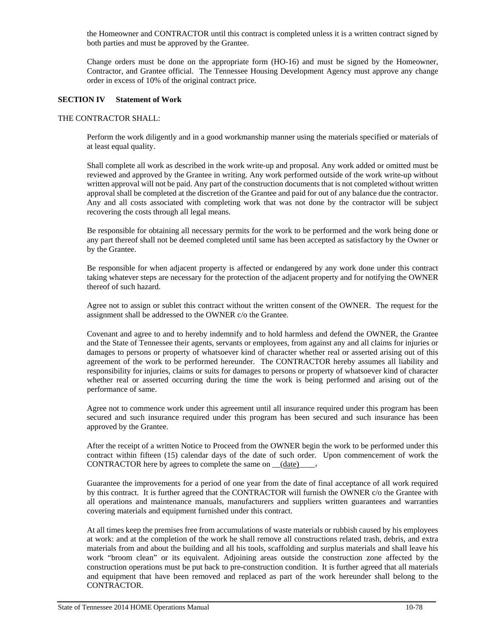the Homeowner and CONTRACTOR until this contract is completed unless it is a written contract signed by both parties and must be approved by the Grantee.

Change orders must be done on the appropriate form (HO-16) and must be signed by the Homeowner, Contractor, and Grantee official. The Tennessee Housing Development Agency must approve any change order in excess of 10% of the original contract price.

### **SECTION IV Statement of Work**

#### THE CONTRACTOR SHALL:

Perform the work diligently and in a good workmanship manner using the materials specified or materials of at least equal quality.

Shall complete all work as described in the work write-up and proposal. Any work added or omitted must be reviewed and approved by the Grantee in writing. Any work performed outside of the work write-up without written approval will not be paid. Any part of the construction documents that is not completed without written approval shall be completed at the discretion of the Grantee and paid for out of any balance due the contractor. Any and all costs associated with completing work that was not done by the contractor will be subject recovering the costs through all legal means.

Be responsible for obtaining all necessary permits for the work to be performed and the work being done or any part thereof shall not be deemed completed until same has been accepted as satisfactory by the Owner or by the Grantee.

Be responsible for when adjacent property is affected or endangered by any work done under this contract taking whatever steps are necessary for the protection of the adjacent property and for notifying the OWNER thereof of such hazard.

Agree not to assign or sublet this contract without the written consent of the OWNER. The request for the assignment shall be addressed to the OWNER c/o the Grantee.

Covenant and agree to and to hereby indemnify and to hold harmless and defend the OWNER, the Grantee and the State of Tennessee their agents, servants or employees, from against any and all claims for injuries or damages to persons or property of whatsoever kind of character whether real or asserted arising out of this agreement of the work to be performed hereunder. The CONTRACTOR hereby assumes all liability and responsibility for injuries, claims or suits for damages to persons or property of whatsoever kind of character whether real or asserted occurring during the time the work is being performed and arising out of the performance of same.

Agree not to commence work under this agreement until all insurance required under this program has been secured and such insurance required under this program has been secured and such insurance has been approved by the Grantee.

After the receipt of a written Notice to Proceed from the OWNER begin the work to be performed under this contract within fifteen (15) calendar days of the date of such order. Upon commencement of work the CONTRACTOR here by agrees to complete the same on  $(date)$ .

Guarantee the improvements for a period of one year from the date of final acceptance of all work required by this contract. It is further agreed that the CONTRACTOR will furnish the OWNER c/o the Grantee with all operations and maintenance manuals, manufacturers and suppliers written guarantees and warranties covering materials and equipment furnished under this contract.

At all times keep the premises free from accumulations of waste materials or rubbish caused by his employees at work: and at the completion of the work he shall remove all constructions related trash, debris, and extra materials from and about the building and all his tools, scaffolding and surplus materials and shall leave his work "broom clean" or its equivalent. Adjoining areas outside the construction zone affected by the construction operations must be put back to pre-construction condition. It is further agreed that all materials and equipment that have been removed and replaced as part of the work hereunder shall belong to the CONTRACTOR.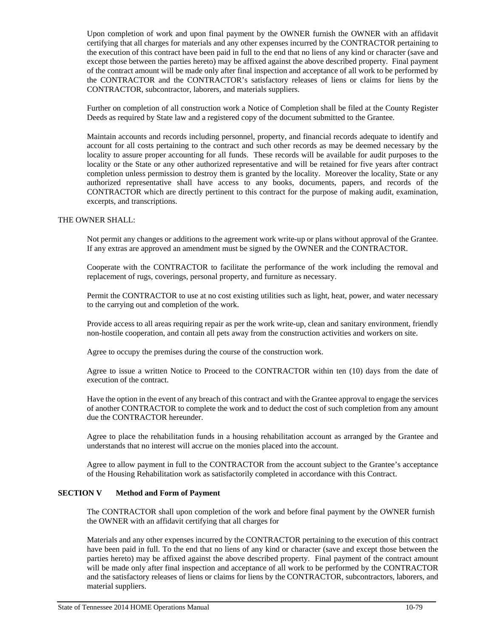Upon completion of work and upon final payment by the OWNER furnish the OWNER with an affidavit certifying that all charges for materials and any other expenses incurred by the CONTRACTOR pertaining to the execution of this contract have been paid in full to the end that no liens of any kind or character (save and except those between the parties hereto) may be affixed against the above described property. Final payment of the contract amount will be made only after final inspection and acceptance of all work to be performed by the CONTRACTOR and the CONTRACTOR's satisfactory releases of liens or claims for liens by the CONTRACTOR, subcontractor, laborers, and materials suppliers.

Further on completion of all construction work a Notice of Completion shall be filed at the County Register Deeds as required by State law and a registered copy of the document submitted to the Grantee.

Maintain accounts and records including personnel, property, and financial records adequate to identify and account for all costs pertaining to the contract and such other records as may be deemed necessary by the locality to assure proper accounting for all funds. These records will be available for audit purposes to the locality or the State or any other authorized representative and will be retained for five years after contract completion unless permission to destroy them is granted by the locality. Moreover the locality, State or any authorized representative shall have access to any books, documents, papers, and records of the CONTRACTOR which are directly pertinent to this contract for the purpose of making audit, examination, excerpts, and transcriptions.

#### THE OWNER SHALL:

Not permit any changes or additions to the agreement work write-up or plans without approval of the Grantee. If any extras are approved an amendment must be signed by the OWNER and the CONTRACTOR.

Cooperate with the CONTRACTOR to facilitate the performance of the work including the removal and replacement of rugs, coverings, personal property, and furniture as necessary.

Permit the CONTRACTOR to use at no cost existing utilities such as light, heat, power, and water necessary to the carrying out and completion of the work.

Provide access to all areas requiring repair as per the work write-up, clean and sanitary environment, friendly non-hostile cooperation, and contain all pets away from the construction activities and workers on site.

Agree to occupy the premises during the course of the construction work.

Agree to issue a written Notice to Proceed to the CONTRACTOR within ten (10) days from the date of execution of the contract.

Have the option in the event of any breach of this contract and with the Grantee approval to engage the services of another CONTRACTOR to complete the work and to deduct the cost of such completion from any amount due the CONTRACTOR hereunder.

Agree to place the rehabilitation funds in a housing rehabilitation account as arranged by the Grantee and understands that no interest will accrue on the monies placed into the account.

Agree to allow payment in full to the CONTRACTOR from the account subject to the Grantee's acceptance of the Housing Rehabilitation work as satisfactorily completed in accordance with this Contract.

### **SECTION V** Method and Form of Payment

The CONTRACTOR shall upon completion of the work and before final payment by the OWNER furnish the OWNER with an affidavit certifying that all charges for

Materials and any other expenses incurred by the CONTRACTOR pertaining to the execution of this contract have been paid in full. To the end that no liens of any kind or character (save and except those between the parties hereto) may be affixed against the above described property. Final payment of the contract amount will be made only after final inspection and acceptance of all work to be performed by the CONTRACTOR and the satisfactory releases of liens or claims for liens by the CONTRACTOR, subcontractors, laborers, and material suppliers.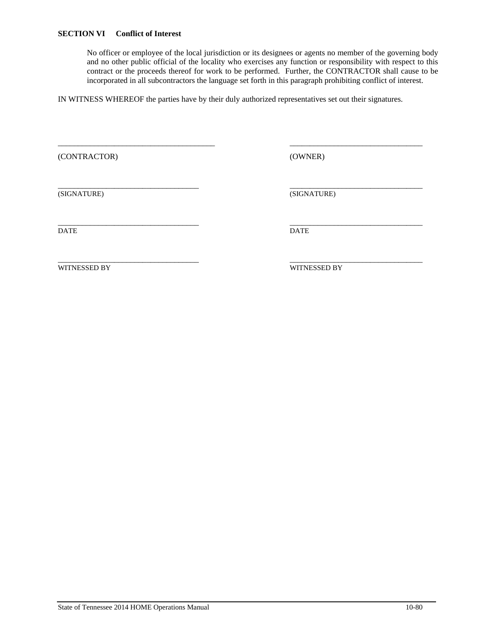No officer or employee of the local jurisdiction or its designees or agents no member of the governing body and no other public official of the locality who exercises any function or responsibility with respect to this contract or the proceeds thereof for work to be performed. Further, the CONTRACTOR shall cause to be incorporated in all subcontractors the language set forth in this paragraph prohibiting conflict of interest.

IN WITNESS WHEREOF the parties have by their duly authorized representatives set out their signatures.

\_\_\_\_\_\_\_\_\_\_\_\_\_\_\_\_\_\_\_\_\_\_\_\_\_\_\_\_\_\_\_\_\_\_\_\_\_\_\_ \_\_\_\_\_\_\_\_\_\_\_\_\_\_\_\_\_\_\_\_\_\_\_\_\_\_\_\_\_\_\_\_\_

(CONTRACTOR) (OWNER)

\_\_\_\_\_\_\_\_\_\_\_\_\_\_\_\_\_\_\_\_\_\_\_\_\_\_\_\_\_\_\_\_\_\_\_ \_\_\_\_\_\_\_\_\_\_\_\_\_\_\_\_\_\_\_\_\_\_\_\_\_\_\_\_\_\_\_\_\_ (SIGNATURE) (SIGNATURE)

\_\_\_\_\_\_\_\_\_\_\_\_\_\_\_\_\_\_\_\_\_\_\_\_\_\_\_\_\_\_\_\_\_\_\_ \_\_\_\_\_\_\_\_\_\_\_\_\_\_\_\_\_\_\_\_\_\_\_\_\_\_\_\_\_\_\_\_\_ DATE DATE

\_\_\_\_\_\_\_\_\_\_\_\_\_\_\_\_\_\_\_\_\_\_\_\_\_\_\_\_\_\_\_\_\_\_\_ \_\_\_\_\_\_\_\_\_\_\_\_\_\_\_\_\_\_\_\_\_\_\_\_\_\_\_\_\_\_\_\_\_ WITNESSED BY WITNESSED BY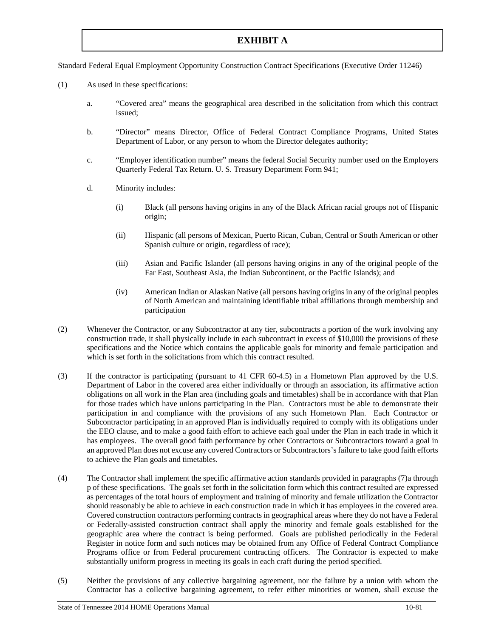# **EXHIBIT A**

Standard Federal Equal Employment Opportunity Construction Contract Specifications (Executive Order 11246)

- (1) As used in these specifications:
	- a. "Covered area" means the geographical area described in the solicitation from which this contract issued;
	- b. "Director" means Director, Office of Federal Contract Compliance Programs, United States Department of Labor, or any person to whom the Director delegates authority;
	- c. "Employer identification number" means the federal Social Security number used on the Employers Quarterly Federal Tax Return. U. S. Treasury Department Form 941;
	- d. Minority includes:
		- (i) Black (all persons having origins in any of the Black African racial groups not of Hispanic origin;
		- (ii) Hispanic (all persons of Mexican, Puerto Rican, Cuban, Central or South American or other Spanish culture or origin, regardless of race);
		- (iii) Asian and Pacific Islander (all persons having origins in any of the original people of the Far East, Southeast Asia, the Indian Subcontinent, or the Pacific Islands); and
		- (iv) American Indian or Alaskan Native (all persons having origins in any of the original peoples of North American and maintaining identifiable tribal affiliations through membership and participation
- (2) Whenever the Contractor, or any Subcontractor at any tier, subcontracts a portion of the work involving any construction trade, it shall physically include in each subcontract in excess of \$10,000 the provisions of these specifications and the Notice which contains the applicable goals for minority and female participation and which is set forth in the solicitations from which this contract resulted.
- (3) If the contractor is participating (pursuant to 41 CFR 60-4.5) in a Hometown Plan approved by the U.S. Department of Labor in the covered area either individually or through an association, its affirmative action obligations on all work in the Plan area (including goals and timetables) shall be in accordance with that Plan for those trades which have unions participating in the Plan. Contractors must be able to demonstrate their participation in and compliance with the provisions of any such Hometown Plan. Each Contractor or Subcontractor participating in an approved Plan is individually required to comply with its obligations under the EEO clause, and to make a good faith effort to achieve each goal under the Plan in each trade in which it has employees. The overall good faith performance by other Contractors or Subcontractors toward a goal in an approved Plan does not excuse any covered Contractors or Subcontractors's failure to take good faith efforts to achieve the Plan goals and timetables.
- (4) The Contractor shall implement the specific affirmative action standards provided in paragraphs (7)a through p of these specifications. The goals set forth in the solicitation form which this contract resulted are expressed as percentages of the total hours of employment and training of minority and female utilization the Contractor should reasonably be able to achieve in each construction trade in which it has employees in the covered area. Covered construction contractors performing contracts in geographical areas where they do not have a Federal or Federally-assisted construction contract shall apply the minority and female goals established for the geographic area where the contract is being performed. Goals are published periodically in the Federal Register in notice form and such notices may be obtained from any Office of Federal Contract Compliance Programs office or from Federal procurement contracting officers. The Contractor is expected to make substantially uniform progress in meeting its goals in each craft during the period specified.
- (5) Neither the provisions of any collective bargaining agreement, nor the failure by a union with whom the Contractor has a collective bargaining agreement, to refer either minorities or women, shall excuse the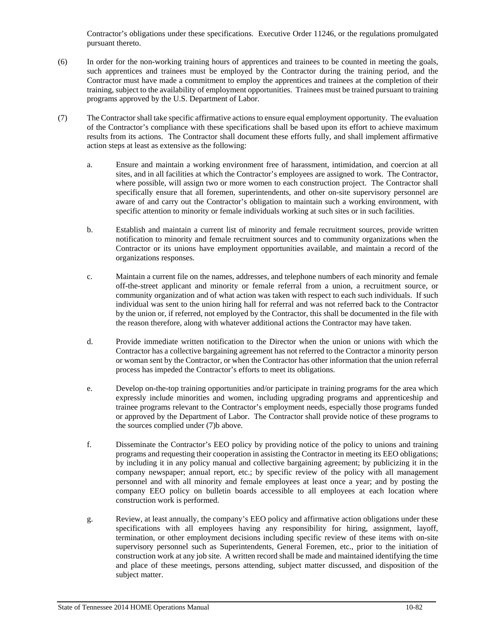Contractor's obligations under these specifications. Executive Order 11246, or the regulations promulgated pursuant thereto.

- (6) In order for the non-working training hours of apprentices and trainees to be counted in meeting the goals, such apprentices and trainees must be employed by the Contractor during the training period, and the Contractor must have made a commitment to employ the apprentices and trainees at the completion of their training, subject to the availability of employment opportunities. Trainees must be trained pursuant to training programs approved by the U.S. Department of Labor.
- (7) The Contractor shall take specific affirmative actions to ensure equal employment opportunity. The evaluation of the Contractor's compliance with these specifications shall be based upon its effort to achieve maximum results from its actions. The Contractor shall document these efforts fully, and shall implement affirmative action steps at least as extensive as the following:
	- a. Ensure and maintain a working environment free of harassment, intimidation, and coercion at all sites, and in all facilities at which the Contractor's employees are assigned to work. The Contractor, where possible, will assign two or more women to each construction project. The Contractor shall specifically ensure that all foremen, superintendents, and other on-site supervisory personnel are aware of and carry out the Contractor's obligation to maintain such a working environment, with specific attention to minority or female individuals working at such sites or in such facilities.
	- b. Establish and maintain a current list of minority and female recruitment sources, provide written notification to minority and female recruitment sources and to community organizations when the Contractor or its unions have employment opportunities available, and maintain a record of the organizations responses.
	- c. Maintain a current file on the names, addresses, and telephone numbers of each minority and female off-the-street applicant and minority or female referral from a union, a recruitment source, or community organization and of what action was taken with respect to each such individuals. If such individual was sent to the union hiring hall for referral and was not referred back to the Contractor by the union or, if referred, not employed by the Contractor, this shall be documented in the file with the reason therefore, along with whatever additional actions the Contractor may have taken.
	- d. Provide immediate written notification to the Director when the union or unions with which the Contractor has a collective bargaining agreement has not referred to the Contractor a minority person or woman sent by the Contractor, or when the Contractor has other information that the union referral process has impeded the Contractor's efforts to meet its obligations.
	- e. Develop on-the-top training opportunities and/or participate in training programs for the area which expressly include minorities and women, including upgrading programs and apprenticeship and trainee programs relevant to the Contractor's employment needs, especially those programs funded or approved by the Department of Labor. The Contractor shall provide notice of these programs to the sources complied under (7)b above.
	- f. Disseminate the Contractor's EEO policy by providing notice of the policy to unions and training programs and requesting their cooperation in assisting the Contractor in meeting its EEO obligations; by including it in any policy manual and collective bargaining agreement; by publicizing it in the company newspaper; annual report, etc.; by specific review of the policy with all management personnel and with all minority and female employees at least once a year; and by posting the company EEO policy on bulletin boards accessible to all employees at each location where construction work is performed.
	- g. Review, at least annually, the company's EEO policy and affirmative action obligations under these specifications with all employees having any responsibility for hiring, assignment, layoff, termination, or other employment decisions including specific review of these items with on-site supervisory personnel such as Superintendents, General Foremen, etc., prior to the initiation of construction work at any job site. A written record shall be made and maintained identifying the time and place of these meetings, persons attending, subject matter discussed, and disposition of the subject matter.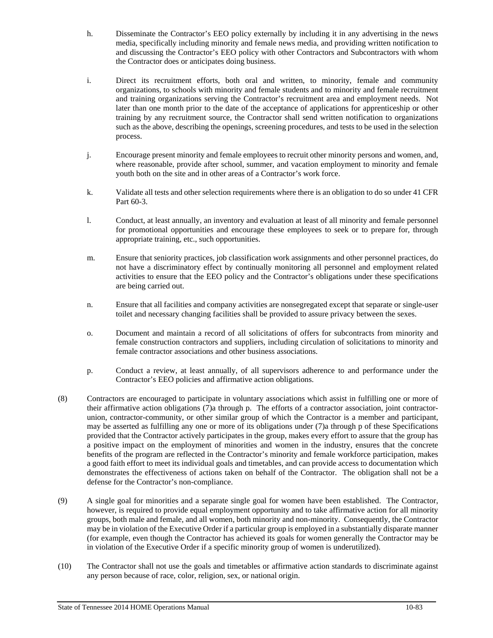- h. Disseminate the Contractor's EEO policy externally by including it in any advertising in the news media, specifically including minority and female news media, and providing written notification to and discussing the Contractor's EEO policy with other Contractors and Subcontractors with whom the Contractor does or anticipates doing business.
- i. Direct its recruitment efforts, both oral and written, to minority, female and community organizations, to schools with minority and female students and to minority and female recruitment and training organizations serving the Contractor's recruitment area and employment needs. Not later than one month prior to the date of the acceptance of applications for apprenticeship or other training by any recruitment source, the Contractor shall send written notification to organizations such as the above, describing the openings, screening procedures, and tests to be used in the selection process.
- j. Encourage present minority and female employees to recruit other minority persons and women, and, where reasonable, provide after school, summer, and vacation employment to minority and female youth both on the site and in other areas of a Contractor's work force.
- k. Validate all tests and other selection requirements where there is an obligation to do so under 41 CFR Part 60-3.
- l. Conduct, at least annually, an inventory and evaluation at least of all minority and female personnel for promotional opportunities and encourage these employees to seek or to prepare for, through appropriate training, etc., such opportunities.
- m. Ensure that seniority practices, job classification work assignments and other personnel practices, do not have a discriminatory effect by continually monitoring all personnel and employment related activities to ensure that the EEO policy and the Contractor's obligations under these specifications are being carried out.
- n. Ensure that all facilities and company activities are nonsegregated except that separate or single-user toilet and necessary changing facilities shall be provided to assure privacy between the sexes.
- o. Document and maintain a record of all solicitations of offers for subcontracts from minority and female construction contractors and suppliers, including circulation of solicitations to minority and female contractor associations and other business associations.
- p. Conduct a review, at least annually, of all supervisors adherence to and performance under the Contractor's EEO policies and affirmative action obligations.
- (8) Contractors are encouraged to participate in voluntary associations which assist in fulfilling one or more of their affirmative action obligations (7)a through p. The efforts of a contractor association, joint contractorunion, contractor-community, or other similar group of which the Contractor is a member and participant, may be asserted as fulfilling any one or more of its obligations under (7)a through p of these Specifications provided that the Contractor actively participates in the group, makes every effort to assure that the group has a positive impact on the employment of minorities and women in the industry, ensures that the concrete benefits of the program are reflected in the Contractor's minority and female workforce participation, makes a good faith effort to meet its individual goals and timetables, and can provide access to documentation which demonstrates the effectiveness of actions taken on behalf of the Contractor. The obligation shall not be a defense for the Contractor's non-compliance.
- (9) A single goal for minorities and a separate single goal for women have been established. The Contractor, however, is required to provide equal employment opportunity and to take affirmative action for all minority groups, both male and female, and all women, both minority and non-minority. Consequently, the Contractor may be in violation of the Executive Order if a particular group is employed in a substantially disparate manner (for example, even though the Contractor has achieved its goals for women generally the Contractor may be in violation of the Executive Order if a specific minority group of women is underutilized).
- (10) The Contractor shall not use the goals and timetables or affirmative action standards to discriminate against any person because of race, color, religion, sex, or national origin.